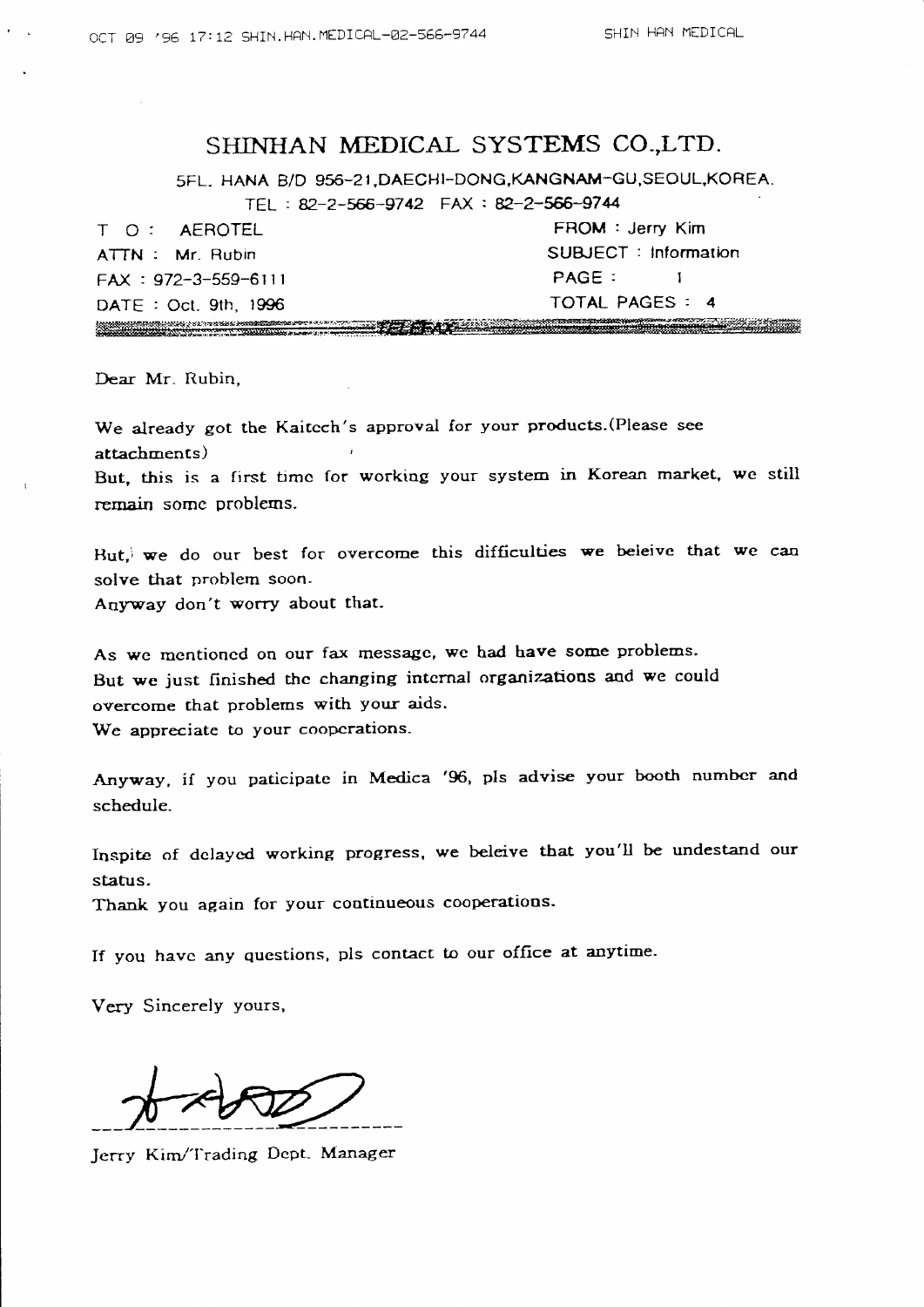## SHINHAN MEDICAL SYSTEMS CO-,LTD.

5FL. HANA B/D 956-21, DAECHI-DONG, KANGNAM-GU, SEOUL, KOREA.

TEL : B2'2-ffi-9742 FAX : P-2-ffi-974

T O : AEROTEL FROM : Jerry Kim FA(:972-3-559-6lll PAGE: I DATE: Oct. 9th. 1996 TOTAL PAGES: 4 <u> Mandala Mandala (1981), a seu compositor de la propincia de la propincia de la propincia de la propincia de l</u><br>Compositor de la propincia de la propincia de la propincia de la propincia de la propincia de la propincia de

ATTN : Mr. Rubin SUBJECT : Information <u>, and the second community of the second community of the second community of the second community of the second</u>

Dear Mr. Rubin.

We already got the Kaitech's approval for your products. (Please see attachments) But, this is a first timc for working your system in Korean market, we still rernain somc problems.

Hut, we do our best for overcome this difficulties we beleive that we can solve that problem soon. Anyway don't worry about that-

As we mentioned on our fax message, we had have some problems. But we just finished the changing internal organizations and we could overcome that problems with your aids. We appreciate to your cooperations.

Anyway, if you paticipate in Medica '96, pls advise your booth number and schedule.

Inspite of dclaycd working progress, we beleive tbat you'U be undestand our status.

Thank you again for your continueous cooperations.

If you have any questions, pls contact to our office at anytime.

Very Sincerely yours,

 $#$ 

Jerry Kim/Trading Dept. Manage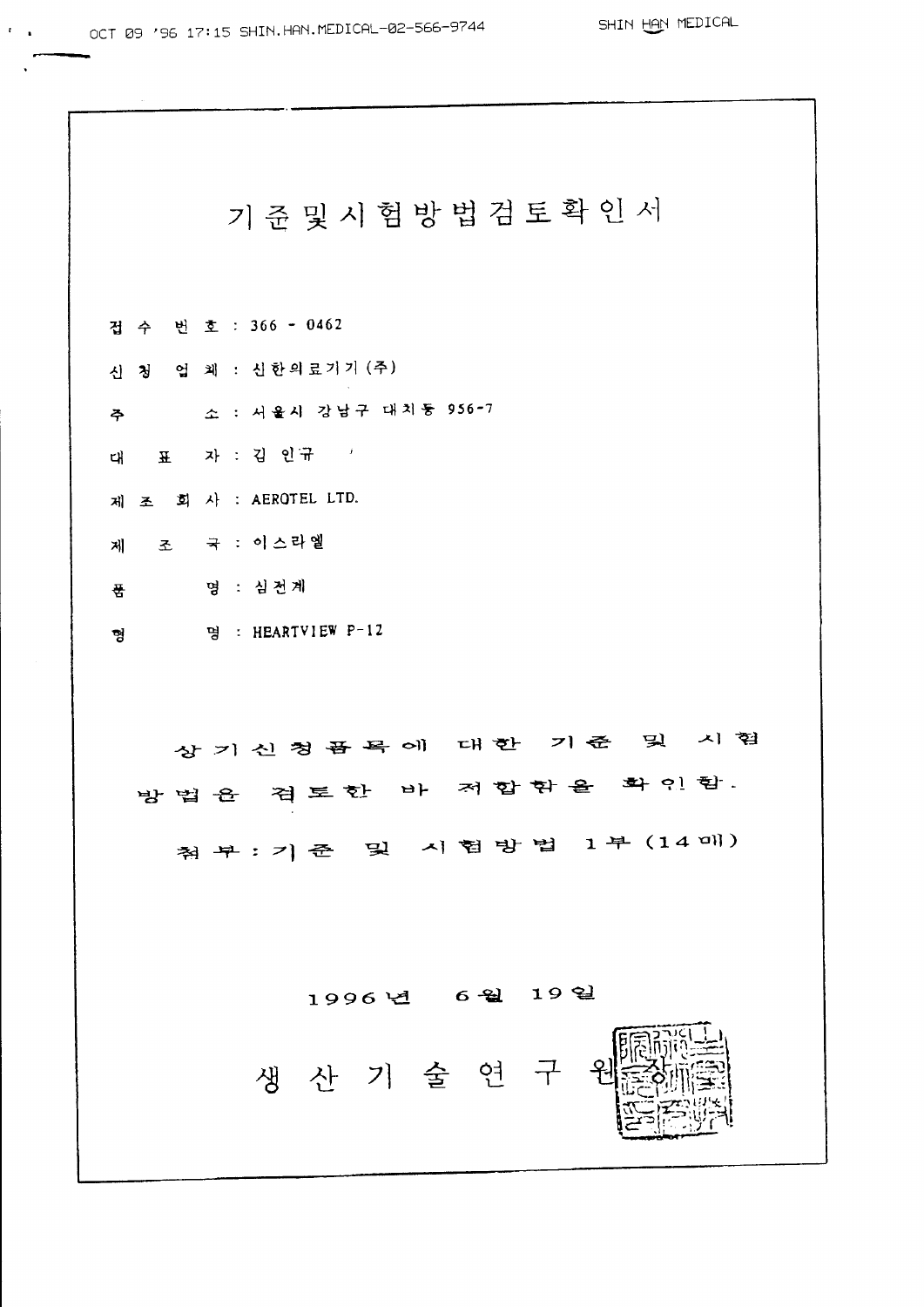SHIN HAN MEDICAL

기준 및 시험방법검토확인서 겁수 번호 : 366 - 0462 신 청 업 체 : 신한의료기기 (주) 주 소 : 서울시 강남구 대치등 956-7 대표 자 : 김 인규 / 제 조 회 사 : AEROTEL LTD. 제 조 국 : 이스라엘 품 명 : 심전계 명 : HEARTVIEW P-12 형 상기신청품목에 대한 기준 및 시험 방법을 겪토한 바 저합함을 확인함. 첨 부 : 기 준 및 시 험 방 법 1 부 (14 매) 1996년 6월 19일 생산기술연구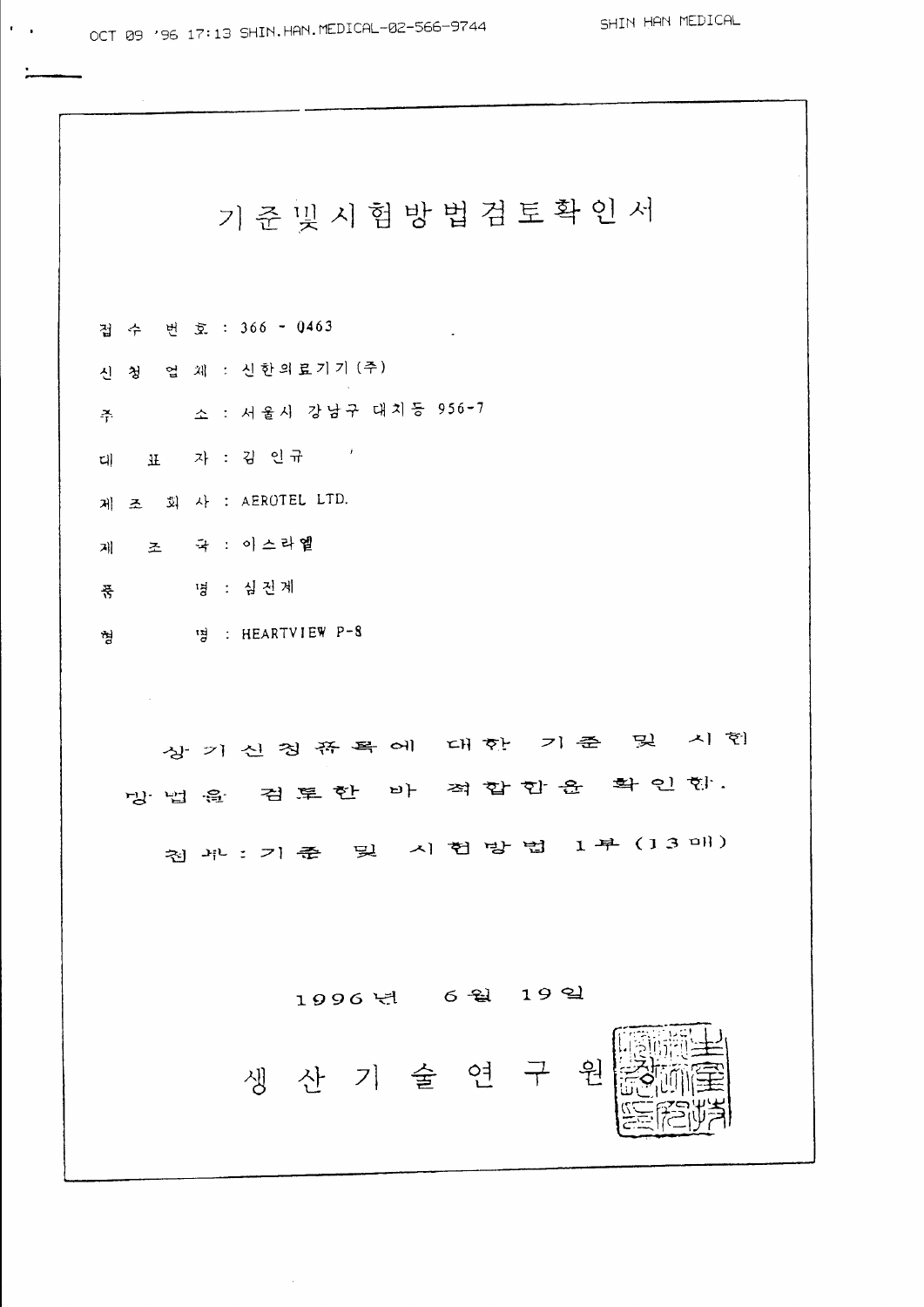기준빛시험방법검토확인서 겁수 번호 : 366 - 0463 신 청 업 체 : 신한의료기기 (주) 주 소 : 서울시 강남구 대치등 956-7 데 표 자 : 김 인규 ' 제 조 회 사 : AEROTEL LTD. 제 조 국 : 이스라엘 품 명 : 심진계 형 명 : HEARTVIEW P-8  $\sim$   $\sim$ 상 기 신 칭 쮸 목 에 대 한 기 준 및 시 협 망법을 검토한 바 적합함을 확인함. 칩 ポ : 기 좊 및 시 헌 방 법 1 부 (13 매) 1996년 6월 19일 생산기술연구 윔

 $\mathbf{f}(\mathbf{r},\mathbf{r})$  ,  $\mathbf{f}(\mathbf{r},\mathbf{r})$